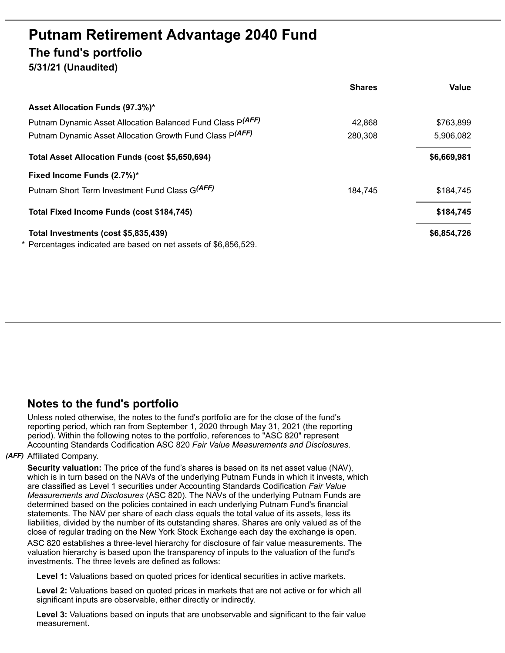# **Putnam Retirement Advantage 2040 Fund The fund's portfolio 5/31/21 (Unaudited)**

|                                                               | <b>Shares</b> | Value       |
|---------------------------------------------------------------|---------------|-------------|
| Asset Allocation Funds (97.3%)*                               |               |             |
| Putnam Dynamic Asset Allocation Balanced Fund Class P(AFF)    | 42,868        | \$763,899   |
| Putnam Dynamic Asset Allocation Growth Fund Class P(AFF)      | 280,308       | 5,906,082   |
| Total Asset Allocation Funds (cost \$5,650,694)               |               | \$6,669,981 |
| Fixed Income Funds (2.7%)*                                    |               |             |
| Putnam Short Term Investment Fund Class G(AFF)                | 184.745       | \$184.745   |
| Total Fixed Income Funds (cost \$184,745)                     |               | \$184,745   |
| Total Investments (cost \$5,835,439)                          |               | \$6,854,726 |
| Percentages indicated are based on net assets of \$6,856,529. |               |             |

## **Notes to the fund's portfolio**

Unless noted otherwise, the notes to the fund's portfolio are for the close of the fund's reporting period, which ran from September 1, 2020 through May 31, 2021 (the reporting period). Within the following notes to the portfolio, references to "ASC 820" represent Accounting Standards Codification ASC 820 *Fair Value Measurements and Disclosures*.

### *(AFF)* Affiliated Company.

**Security valuation:** The price of the fund's shares is based on its net asset value (NAV), which is in turn based on the NAVs of the underlying Putnam Funds in which it invests, which are classified as Level 1 securities under Accounting Standards Codification *Fair Value Measurements and Disclosures* (ASC 820). The NAVs of the underlying Putnam Funds are determined based on the policies contained in each underlying Putnam Fund's financial statements. The NAV per share of each class equals the total value of its assets, less its liabilities, divided by the number of its outstanding shares. Shares are only valued as of the close of regular trading on the New York Stock Exchange each day the exchange is open.

ASC 820 establishes a three-level hierarchy for disclosure of fair value measurements. The valuation hierarchy is based upon the transparency of inputs to the valuation of the fund's investments. The three levels are defined as follows:

**Level 1:** Valuations based on quoted prices for identical securities in active markets.

**Level 2:** Valuations based on quoted prices in markets that are not active or for which all significant inputs are observable, either directly or indirectly.

**Level 3:** Valuations based on inputs that are unobservable and significant to the fair value measurement.